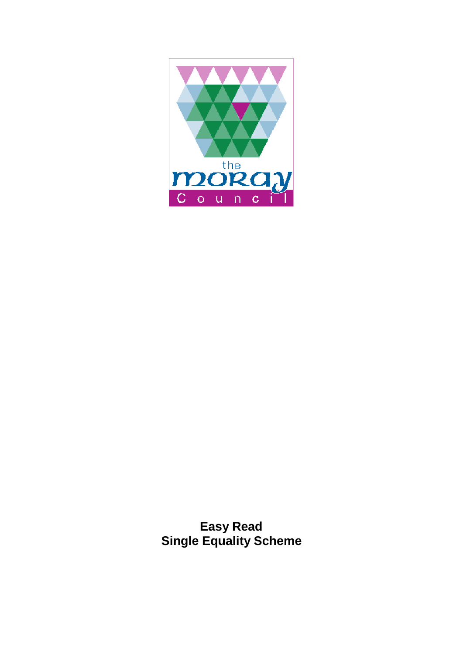

**Easy Read Single Equality Scheme**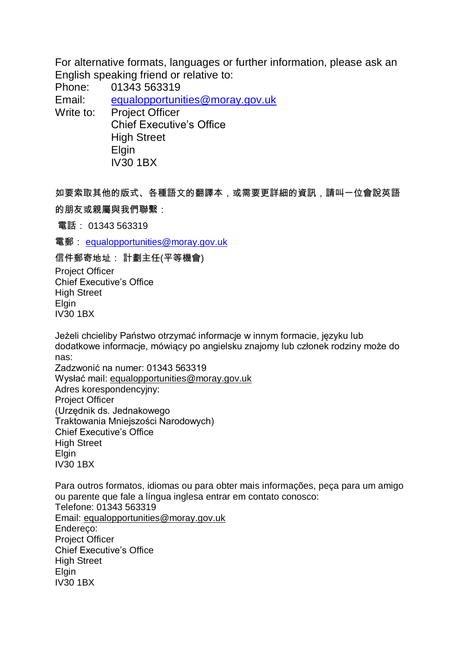For alternative formats, languages or further information, please ask an English speaking friend or relative to:

Phone: 01343 563319

Email: [equalopportunities@moray.gov.uk](mailto:equalopportunities@moray.gov.uk)

Write to: Project Officer Chief Executive's Office High Street **Elgin** IV30 1BX

如要索取其他的版式、各種語文的翻譯本,或需要更詳細的資訊,請叫一位會說英語 的朋友或親屬與我們聯繫:

電話: 01343 563319

電郵: [equalopportunities@moray.gov.uk](mailto:equalopportunities@moray.gov.uk)

信件郵寄地址: 計劃主任(平等機會) Project Officer Chief Executive's Office High Street **Elgin** IV30 1BX

Jeżeli chcieliby Państwo otrzymać informacje w innym formacie, języku lub dodatkowe informacje, mówiący po angielsku znajomy lub członek rodziny może do nas:

Zadzwonić na numer: 01343 563319 Wysłać mail: [equalopportunities@moray.gov.uk](mailto:equalopportunities@moray.gov.uk) Adres korespondencyjny: Project Officer (Urzędnik ds. Jednakowego Traktowania Mniejszości Narodowych) Chief Executive's Office High Street Elgin IV30 1BX

Para outros formatos, idiomas ou para obter mais informações, peça para um amigo ou parente que fale a língua inglesa entrar em contato conosco: Telefone: 01343 563319 Email: [equalopportunities@moray.gov.uk](mailto:equalopportunities@moray.gov.uk) Endereco: Project Officer Chief Executive's Office High Street **Elgin** IV30 1BX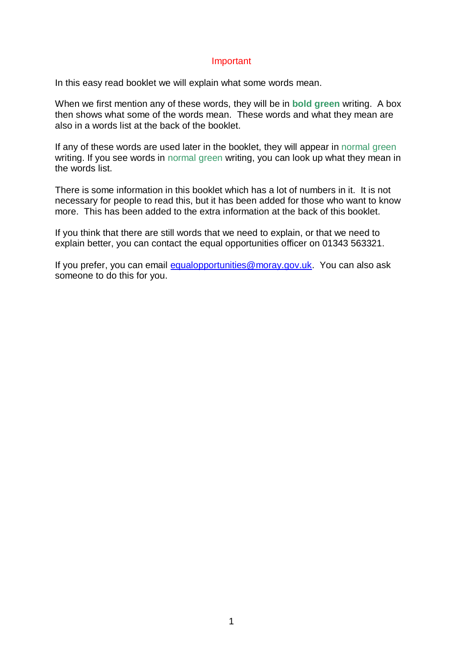#### Important

In this easy read booklet we will explain what some words mean.

When we first mention any of these words, they will be in **bold green** writing. A box then shows what some of the words mean. These words and what they mean are also in a words list at the back of the booklet.

If any of these words are used later in the booklet, they will appear in normal green writing. If you see words in normal green writing, you can look up what they mean in the words list.

There is some information in this booklet which has a lot of numbers in it. It is not necessary for people to read this, but it has been added for those who want to know more. This has been added to the extra information at the back of this booklet.

If you think that there are still words that we need to explain, or that we need to explain better, you can contact the equal opportunities officer on 01343 563321.

If you prefer, you can email [equalopportunities@moray.gov.uk.](mailto:equalopportunities@moray.gov.uk) You can also ask someone to do this for you.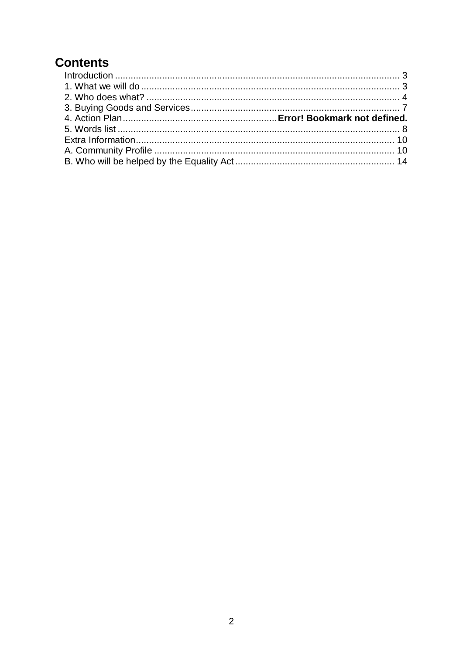## **Contents**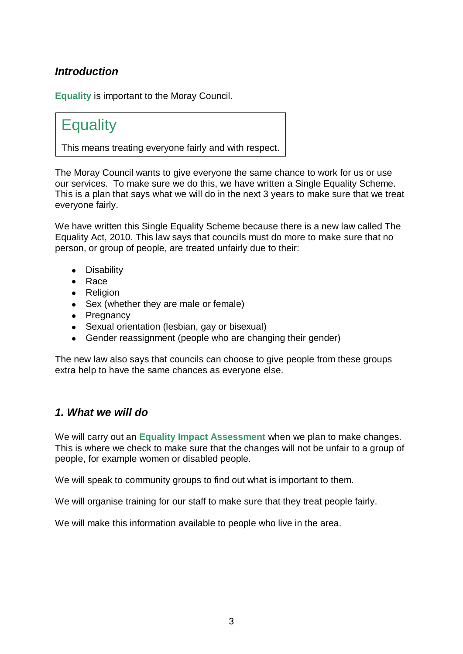## <span id="page-4-0"></span>*Introduction*

**Equality** is important to the Moray Council.

## **Equality**

This means treating everyone fairly and with respect.

The Moray Council wants to give everyone the same chance to work for us or use our services. To make sure we do this, we have written a Single Equality Scheme. This is a plan that says what we will do in the next 3 years to make sure that we treat everyone fairly.

We have written this Single Equality Scheme because there is a new law called The Equality Act, 2010. This law says that councils must do more to make sure that no person, or group of people, are treated unfairly due to their:

- Disability
- Race
- Religion
- Sex (whether they are male or female)
- Pregnancy
- Sexual orientation (lesbian, gay or bisexual)
- Gender reassignment (people who are changing their gender)

The new law also says that councils can choose to give people from these groups extra help to have the same chances as everyone else.

### <span id="page-4-1"></span>*1. What we will do*

We will carry out an **Equality Impact Assessment** when we plan to make changes. This is where we check to make sure that the changes will not be unfair to a group of people, for example women or disabled people.

We will speak to community groups to find out what is important to them.

We will organise training for our staff to make sure that they treat people fairly.

We will make this information available to people who live in the area.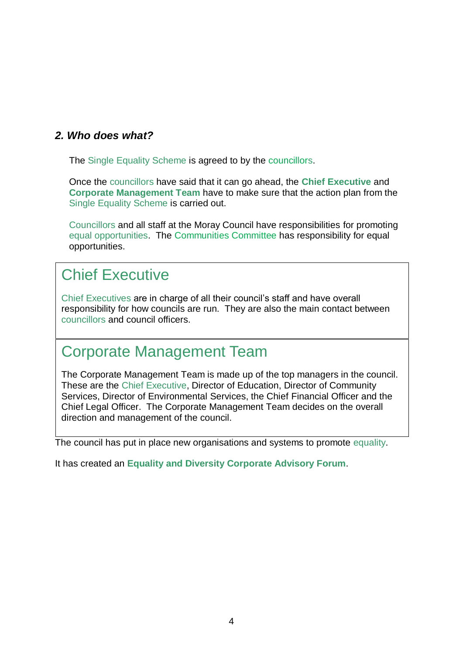### <span id="page-5-0"></span>*2. Who does what?*

The Single Equality Scheme is agreed to by the councillors.

Once the councillors have said that it can go ahead, the **Chief Executive** and **Corporate Management Team** have to make sure that the action plan from the Single Equality Scheme is carried out.

Councillors and all staff at the Moray Council have responsibilities for promoting equal opportunities. The Communities Committee has responsibility for equal opportunities.

# Chief Executive

Chief Executives are in charge of all their council's staff and have overall responsibility for how councils are run. They are also the main contact between councillors and council officers.

# Corporate Management Team

The Corporate Management Team is made up of the top managers in the council. These are the Chief Executive, Director of Education, Director of Community Services, Director of Environmental Services, the Chief Financial Officer and the Chief Legal Officer. The Corporate Management Team decides on the overall direction and management of the council.

The council has put in place new organisations and systems to promote equality.

It has created an **Equality and Diversity Corporate Advisory Forum**.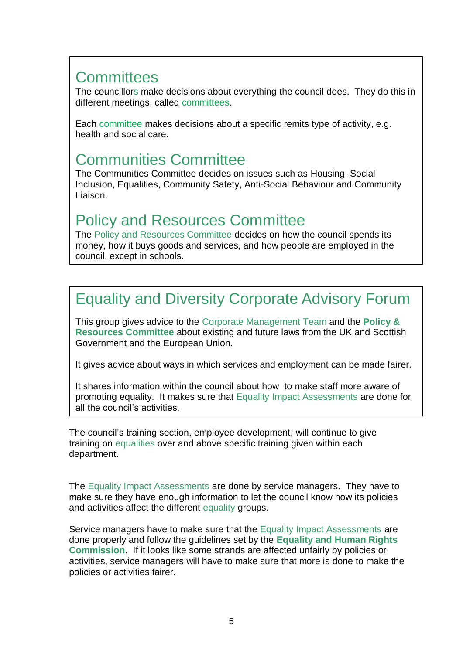# **Committees**

The councillors make decisions about everything the council does. They do this in different meetings, called committees.

Each committee makes decisions about a specific remits type of activity, e.g. health and social care.

## Communities Committee

The Communities Committee decides on issues such as Housing, Social Inclusion, Equalities, Community Safety, Anti-Social Behaviour and Community Liaison.

## Policy and Resources Committee

The Policy and Resources Committee decides on how the council spends its money, how it buys goods and services, and how people are employed in the council, except in schools.

# Equality and Diversity Corporate Advisory Forum

This group gives advice to the Corporate Management Team and the **Policy & Resources Committee** about existing and future laws from the UK and Scottish Government and the European Union.

It gives advice about ways in which services and employment can be made fairer.

It shares information within the council about how to make staff more aware of promoting equality. It makes sure that Equality Impact Assessments are done for all the council's activities.

The council's training section, employee development, will continue to give training on equalities over and above specific training given within each department.

The Equality Impact Assessments are done by service managers. They have to make sure they have enough information to let the council know how its policies and activities affect the different equality groups.

Service managers have to make sure that the Equality Impact Assessments are done properly and follow the guidelines set by the **Equality and Human Rights Commission**. If it looks like some strands are affected unfairly by policies or activities, service managers will have to make sure that more is done to make the policies or activities fairer.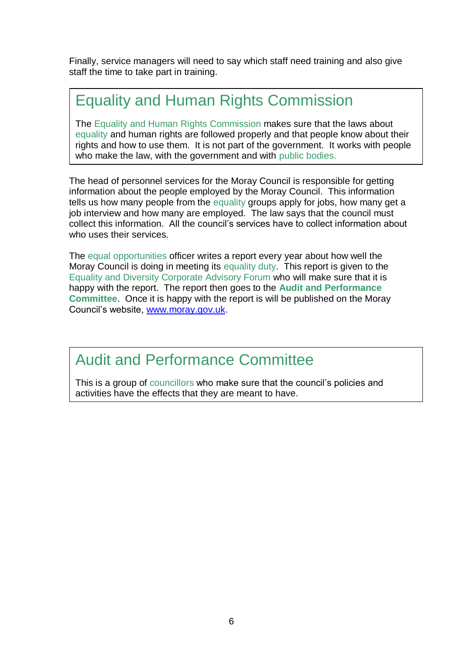Finally, service managers will need to say which staff need training and also give staff the time to take part in training.

# Equality and Human Rights Commission

The Equality and Human Rights Commission makes sure that the laws about equality and human rights are followed properly and that people know about their rights and how to use them. It is not part of the government. It works with people who make the law, with the government and with public bodies.

The head of personnel services for the Moray Council is responsible for getting information about the people employed by the Moray Council. This information tells us how many people from the equality groups apply for jobs, how many get a job interview and how many are employed. The law says that the council must collect this information. All the council's services have to collect information about who uses their services.

The equal opportunities officer writes a report every year about how well the Moray Council is doing in meeting its equality duty. This report is given to the Equality and Diversity Corporate Advisory Forum who will make sure that it is happy with the report. The report then goes to the **Audit and Performance Committee**. Once it is happy with the report is will be published on the Moray Council's website, [www.moray.gov.uk.](http://www.moray.gov.uk/)

Audit and Performance Committee

This is a group of councillors who make sure that the council's policies and activities have the effects that they are meant to have.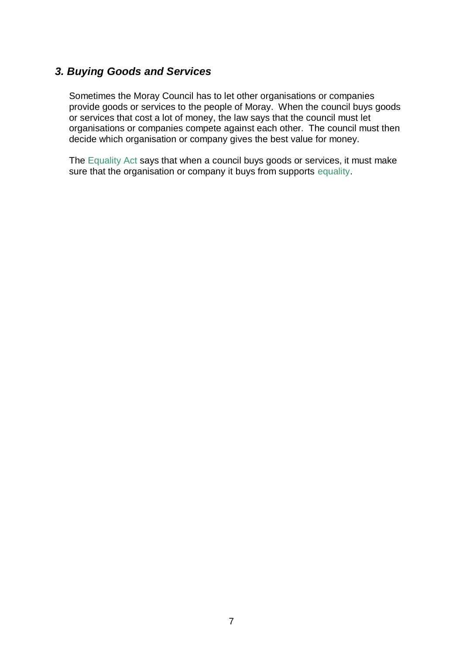### <span id="page-8-0"></span>*3. Buying Goods and Services*

Sometimes the Moray Council has to let other organisations or companies provide goods or services to the people of Moray. When the council buys goods or services that cost a lot of money, the law says that the council must let organisations or companies compete against each other. The council must then decide which organisation or company gives the best value for money.

The Equality Act says that when a council buys goods or services, it must make sure that the organisation or company it buys from supports equality.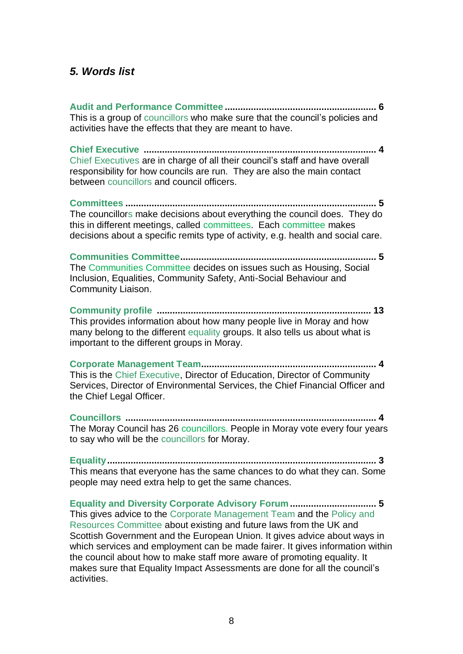#### <span id="page-9-0"></span>*5. Words list*

**Audit and Performance Committee .......................................................... 6** This is a group of councillors who make sure that the council's policies and activities have the effects that they are meant to have.

**Chief Executive ......................................................................................... 4** Chief Executives are in charge of all their council's staff and have overall responsibility for how councils are run. They are also the main contact between councillors and council officers.

**Committees ................................................................................................ 5** The councillors make decisions about everything the council does. They do this in different meetings, called committees. Each committee makes decisions about a specific remits type of activity, e.g. health and social care.

**Communities Committee........................................................................... 5** The Communities Committee decides on issues such as Housing, Social Inclusion, Equalities, Community Safety, Anti-Social Behaviour and Community Liaison.

**Community profile .................................................................................. 13** This provides information about how many people live in Moray and how many belong to the different equality groups. It also tells us about what is important to the different groups in Moray.

**Corporate Management Team................................................................... 4** This is the Chief Executive, Director of Education, Director of Community Services, Director of Environmental Services, the Chief Financial Officer and the Chief Legal Officer.

**Councillors ................................................................................................ 4** The Moray Council has 26 councillors. People in Moray vote every four years to say who will be the councillors for Moray.

**Equality....................................................................................................... 3** This means that everyone has the same chances to do what they can. Some people may need extra help to get the same chances.

**Equality and Diversity Corporate Advisory Forum ................................. 5** This gives advice to the Corporate Management Team and the Policy and Resources Committee about existing and future laws from the UK and Scottish Government and the European Union. It gives advice about ways in which services and employment can be made fairer. It gives information within the council about how to make staff more aware of promoting equality. It makes sure that Equality Impact Assessments are done for all the council's activities.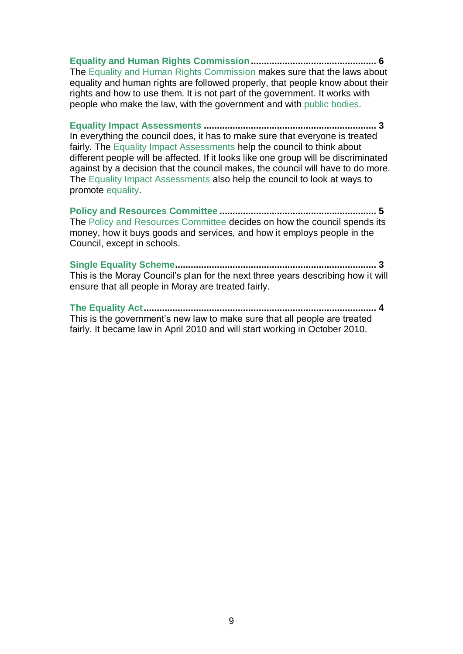**Equality and Human Rights Commission................................................ 6** The Equality and Human Rights Commission makes sure that the laws about equality and human rights are followed properly, that people know about their rights and how to use them. It is not part of the government. It works with people who make the law, with the government and with public bodies.

**Equality Impact Assessments .................................................................. 3** In everything the council does, it has to make sure that everyone is treated fairly. The Equality Impact Assessments help the council to think about different people will be affected. If it looks like one group will be discriminated against by a decision that the council makes, the council will have to do more. The Equality Impact Assessments also help the council to look at ways to promote equality.

**Policy and Resources Committee ............................................................ 5** The Policy and Resources Committee decides on how the council spends its money, how it buys goods and services, and how it employs people in the Council, except in schools.

**Single Equality Scheme............................................................................. 3** This is the Moray Council's plan for the next three years describing how it will ensure that all people in Moray are treated fairly.

**The Equality Act......................................................................................... 4** This is the government's new law to make sure that all people are treated fairly. It became law in April 2010 and will start working in October 2010.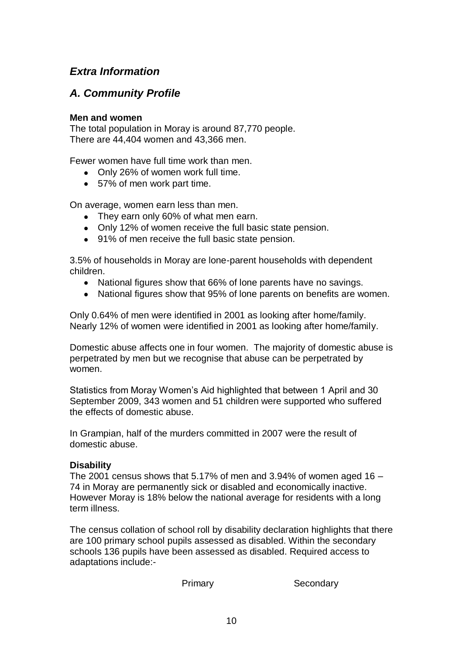## <span id="page-11-0"></span>*Extra Information*

## <span id="page-11-1"></span>*A. Community Profile*

#### **Men and women**

The total population in Moray is around 87,770 people. There are 44,404 women and 43,366 men.

Fewer women have full time work than men.

- Only 26% of women work full time.
- 57% of men work part time.

On average, women earn less than men.

- They earn only 60% of what men earn.
- Only 12% of women receive the full basic state pension.
- 91% of men receive the full basic state pension.

3.5% of households in Moray are lone-parent households with dependent children.

- National figures show that 66% of lone parents have no savings.
- National figures show that 95% of lone parents on benefits are women.

Only 0.64% of men were identified in 2001 as looking after home/family. Nearly 12% of women were identified in 2001 as looking after home/family.

Domestic abuse affects one in four women. The majority of domestic abuse is perpetrated by men but we recognise that abuse can be perpetrated by women.

Statistics from Moray Women's Aid highlighted that between 1 April and 30 September 2009, 343 women and 51 children were supported who suffered the effects of domestic abuse.

In Grampian, half of the murders committed in 2007 were the result of domestic abuse.

#### **Disability**

The 2001 census shows that 5.17% of men and 3.94% of women aged 16  $-$ 74 in Moray are permanently sick or disabled and economically inactive. However Moray is 18% below the national average for residents with a long term illness.

The census collation of school roll by disability declaration highlights that there are 100 primary school pupils assessed as disabled. Within the secondary schools 136 pupils have been assessed as disabled. Required access to adaptations include:-

Primary **Secondary**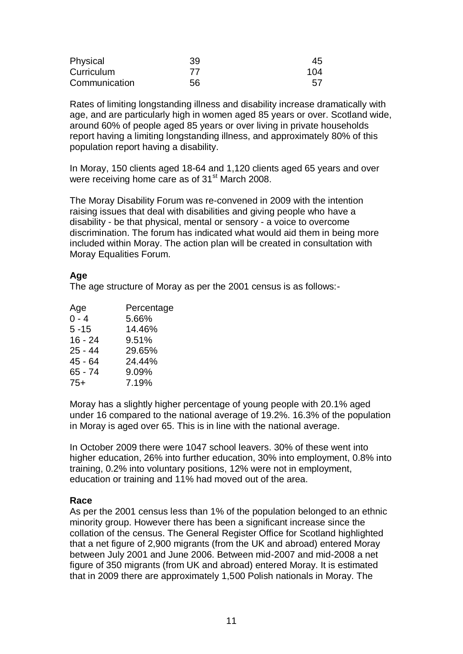| Physical      | 39 | 45  |
|---------------|----|-----|
| Curriculum    | 77 | 104 |
| Communication | 56 | 57  |

Rates of limiting longstanding illness and disability increase dramatically with age, and are particularly high in women aged 85 years or over. Scotland wide, around 60% of people aged 85 years or over living in private households report having a limiting longstanding illness, and approximately 80% of this population report having a disability.

In Moray, 150 clients aged 18-64 and 1,120 clients aged 65 years and over were receiving home care as of 31<sup>st</sup> March 2008.

The Moray Disability Forum was re-convened in 2009 with the intention raising issues that deal with disabilities and giving people who have a disability - be that physical, mental or sensory - a voice to overcome discrimination. The forum has indicated what would aid them in being more included within Moray. The action plan will be created in consultation with Moray Equalities Forum.

#### **Age**

The age structure of Moray as per the 2001 census is as follows:-

| Age       | Percentage |
|-----------|------------|
| $0 - 4$   | 5.66%      |
| $5 - 15$  | 14.46%     |
| $16 - 24$ | 9.51%      |
| $25 - 44$ | 29.65%     |
| 45 - 64   | 24.44%     |
| 65 - 74   | 9.09%      |
| $75+$     | 7.19%      |
|           |            |

Moray has a slightly higher percentage of young people with 20.1% aged under 16 compared to the national average of 19.2%. 16.3% of the population in Moray is aged over 65. This is in line with the national average.

In October 2009 there were 1047 school leavers. 30% of these went into higher education, 26% into further education, 30% into employment, 0.8% into training, 0.2% into voluntary positions, 12% were not in employment, education or training and 11% had moved out of the area.

#### **Race**

As per the 2001 census less than 1% of the population belonged to an ethnic minority group. However there has been a significant increase since the collation of the census. The General Register Office for Scotland highlighted that a net figure of 2,900 migrants (from the UK and abroad) entered Moray between July 2001 and June 2006. Between mid-2007 and mid-2008 a net figure of 350 migrants (from UK and abroad) entered Moray. It is estimated that in 2009 there are approximately 1,500 Polish nationals in Moray. The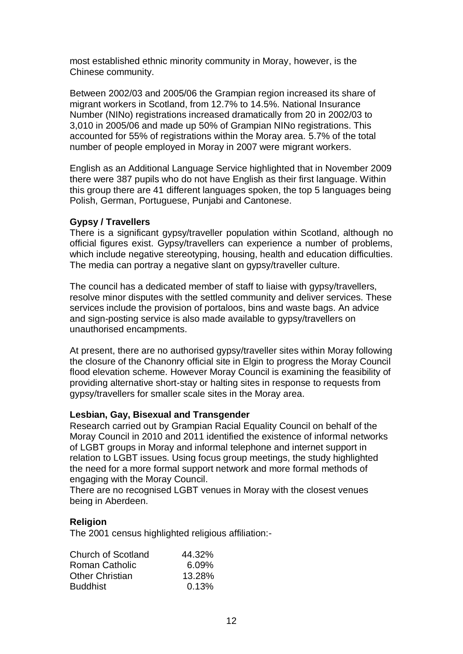most established ethnic minority community in Moray, however, is the Chinese community.

Between 2002/03 and 2005/06 the Grampian region increased its share of migrant workers in Scotland, from 12.7% to 14.5%. National Insurance Number (NINo) registrations increased dramatically from 20 in 2002/03 to 3,010 in 2005/06 and made up 50% of Grampian NINo registrations. This accounted for 55% of registrations within the Moray area. 5.7% of the total number of people employed in Moray in 2007 were migrant workers.

English as an Additional Language Service highlighted that in November 2009 there were 387 pupils who do not have English as their first language. Within this group there are 41 different languages spoken, the top 5 languages being Polish, German, Portuguese, Punjabi and Cantonese.

#### **Gypsy / Travellers**

There is a significant gypsy/traveller population within Scotland, although no official figures exist. Gypsy/travellers can experience a number of problems, which include negative stereotyping, housing, health and education difficulties. The media can portray a negative slant on gypsy/traveller culture.

The council has a dedicated member of staff to liaise with gypsy/travellers, resolve minor disputes with the settled community and deliver services. These services include the provision of portaloos, bins and waste bags. An advice and sign-posting service is also made available to gypsy/travellers on unauthorised encampments.

At present, there are no authorised gypsy/traveller sites within Moray following the closure of the Chanonry official site in Elgin to progress the Moray Council flood elevation scheme. However Moray Council is examining the feasibility of providing alternative short-stay or halting sites in response to requests from gypsy/travellers for smaller scale sites in the Moray area.

#### **Lesbian, Gay, Bisexual and Transgender**

Research carried out by Grampian Racial Equality Council on behalf of the Moray Council in 2010 and 2011 identified the existence of informal networks of LGBT groups in Moray and informal telephone and internet support in relation to LGBT issues. Using focus group meetings, the study highlighted the need for a more formal support network and more formal methods of engaging with the Moray Council.

There are no recognised LGBT venues in Moray with the closest venues being in Aberdeen.

#### **Religion**

The 2001 census highlighted religious affiliation:-

| Church of Scotland     | 44.32% |
|------------------------|--------|
| Roman Catholic         | 6.09%  |
| <b>Other Christian</b> | 13.28% |
| <b>Buddhist</b>        | 0.13%  |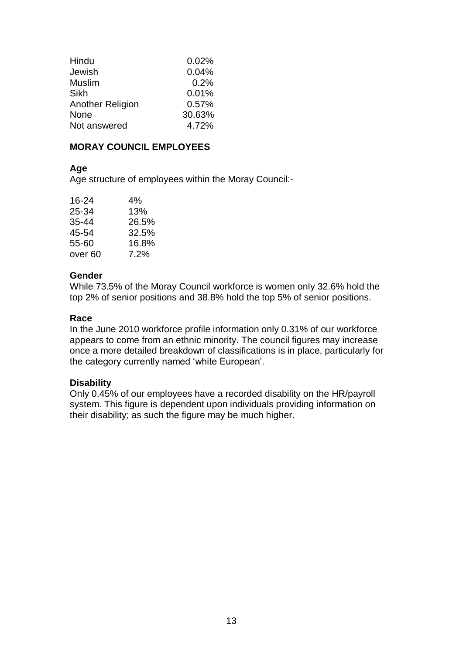| Hindu                   | 0.02%  |
|-------------------------|--------|
| Jewish                  | 0.04%  |
| <b>Muslim</b>           | 0.2%   |
| Sikh                    | 0.01%  |
| <b>Another Religion</b> | 0.57%  |
| None                    | 30.63% |
| Not answered            | 4.72%  |

#### **MORAY COUNCIL EMPLOYEES**

#### **Age**

Age structure of employees within the Moray Council:-

| 16-24              | 4%    |
|--------------------|-------|
| 25-34              | 13%   |
| 35-44              | 26.5% |
| 45-54              | 32.5% |
| 55-60              | 16.8% |
| over <sub>60</sub> | 7.2%  |

#### **Gender**

While 73.5% of the Moray Council workforce is women only 32.6% hold the top 2% of senior positions and 38.8% hold the top 5% of senior positions.

#### **Race**

In the June 2010 workforce profile information only 0.31% of our workforce appears to come from an ethnic minority. The council figures may increase once a more detailed breakdown of classifications is in place, particularly for the category currently named 'white European'.

#### **Disability**

Only 0.45% of our employees have a recorded disability on the HR/payroll system. This figure is dependent upon individuals providing information on their disability; as such the figure may be much higher.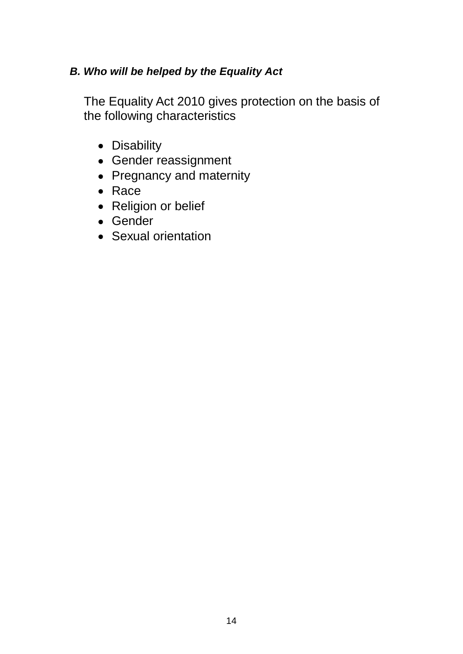## <span id="page-15-0"></span>*B. Who will be helped by the Equality Act*

The Equality Act 2010 gives protection on the basis of the following characteristics

- Disability
- Gender reassignment
- Pregnancy and maternity
- Race
- Religion or belief
- Gender
- Sexual orientation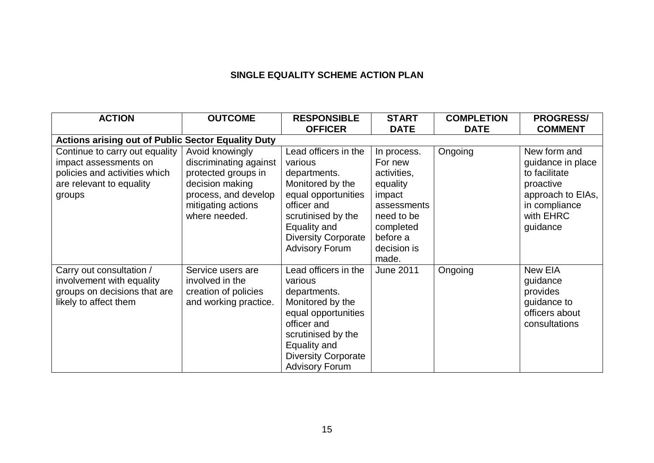#### **SINGLE EQUALITY SCHEME ACTION PLAN**

| <b>ACTION</b>                                                                                                                  | <b>OUTCOME</b>                                                                                                                                     | <b>RESPONSIBLE</b>                                                                                                                                                                                     | <b>START</b>                                                                                                                              | <b>COMPLETION</b> | <b>PROGRESS/</b>                                                                                                               |
|--------------------------------------------------------------------------------------------------------------------------------|----------------------------------------------------------------------------------------------------------------------------------------------------|--------------------------------------------------------------------------------------------------------------------------------------------------------------------------------------------------------|-------------------------------------------------------------------------------------------------------------------------------------------|-------------------|--------------------------------------------------------------------------------------------------------------------------------|
|                                                                                                                                |                                                                                                                                                    | <b>OFFICER</b>                                                                                                                                                                                         | <b>DATE</b>                                                                                                                               | <b>DATE</b>       | <b>COMMENT</b>                                                                                                                 |
| <b>Actions arising out of Public Sector Equality Duty</b>                                                                      |                                                                                                                                                    |                                                                                                                                                                                                        |                                                                                                                                           |                   |                                                                                                                                |
| Continue to carry out equality<br>impact assessments on<br>policies and activities which<br>are relevant to equality<br>groups | Avoid knowingly<br>discriminating against<br>protected groups in<br>decision making<br>process, and develop<br>mitigating actions<br>where needed. | Lead officers in the<br>various<br>departments.<br>Monitored by the<br>equal opportunities<br>officer and<br>scrutinised by the<br>Equality and<br><b>Diversity Corporate</b><br><b>Advisory Forum</b> | In process.<br>For new<br>activities,<br>equality<br>impact<br>assessments<br>need to be<br>completed<br>before a<br>decision is<br>made. | Ongoing           | New form and<br>guidance in place<br>to facilitate<br>proactive<br>approach to EIAs,<br>in compliance<br>with EHRC<br>guidance |
| Carry out consultation /<br>involvement with equality<br>groups on decisions that are<br>likely to affect them                 | Service users are<br>involved in the<br>creation of policies<br>and working practice.                                                              | Lead officers in the<br>various<br>departments.<br>Monitored by the<br>equal opportunities<br>officer and<br>scrutinised by the<br>Equality and<br><b>Diversity Corporate</b><br><b>Advisory Forum</b> | <b>June 2011</b>                                                                                                                          | Ongoing           | New EIA<br>guidance<br>provides<br>guidance to<br>officers about<br>consultations                                              |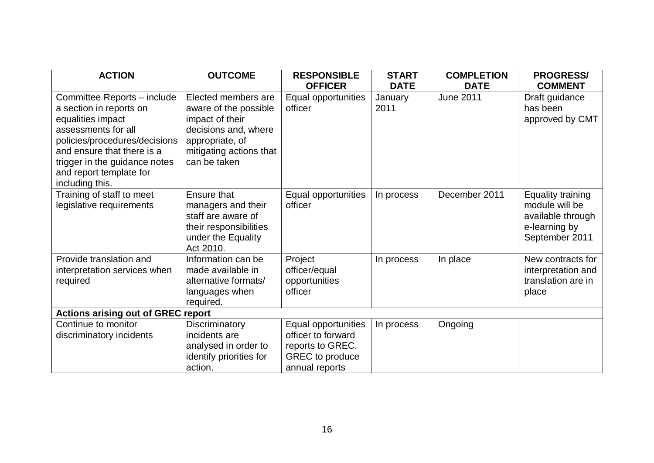| <b>ACTION</b>                                                                                                                                                                                                                                    | <b>OUTCOME</b>                                                                                                                                        | <b>RESPONSIBLE</b><br><b>OFFICER</b>                                                                      | <b>START</b><br><b>DATE</b> | <b>COMPLETION</b><br><b>DATE</b> | <b>PROGRESS/</b><br><b>COMMENT</b>                                                          |  |
|--------------------------------------------------------------------------------------------------------------------------------------------------------------------------------------------------------------------------------------------------|-------------------------------------------------------------------------------------------------------------------------------------------------------|-----------------------------------------------------------------------------------------------------------|-----------------------------|----------------------------------|---------------------------------------------------------------------------------------------|--|
| Committee Reports - include<br>a section in reports on<br>equalities impact<br>assessments for all<br>policies/procedures/decisions<br>and ensure that there is a<br>trigger in the guidance notes<br>and report template for<br>including this. | Elected members are<br>aware of the possible<br>impact of their<br>decisions and, where<br>appropriate, of<br>mitigating actions that<br>can be taken | Equal opportunities<br>officer                                                                            | January<br>2011             | <b>June 2011</b>                 | Draft guidance<br>has been<br>approved by CMT                                               |  |
| Training of staff to meet<br>legislative requirements                                                                                                                                                                                            | Ensure that<br>managers and their<br>staff are aware of<br>their responsibilities<br>under the Equality<br>Act 2010.                                  | Equal opportunities<br>officer                                                                            | In process                  | December 2011                    | Equality training<br>module will be<br>available through<br>e-learning by<br>September 2011 |  |
| Provide translation and<br>interpretation services when<br>required                                                                                                                                                                              | Information can be<br>made available in<br>alternative formats/<br>languages when<br>required.                                                        | Project<br>officer/equal<br>opportunities<br>officer                                                      | In process                  | In place                         | New contracts for<br>interpretation and<br>translation are in<br>place                      |  |
| <b>Actions arising out of GREC report</b>                                                                                                                                                                                                        |                                                                                                                                                       |                                                                                                           |                             |                                  |                                                                                             |  |
| Continue to monitor<br>discriminatory incidents                                                                                                                                                                                                  | Discriminatory<br>incidents are<br>analysed in order to<br>identify priorities for<br>action.                                                         | Equal opportunities<br>officer to forward<br>reports to GREC.<br><b>GREC</b> to produce<br>annual reports | In process                  | Ongoing                          |                                                                                             |  |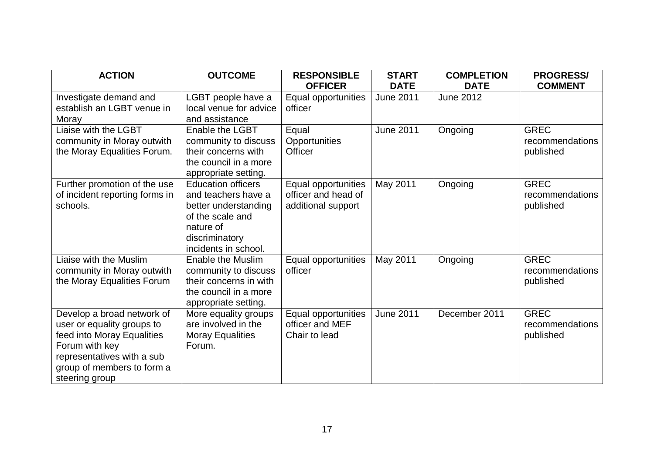| <b>ACTION</b>                                                                                                                                                                          | <b>OUTCOME</b>                                                                                                                                      | <b>RESPONSIBLE</b><br><b>OFFICER</b>                             | <b>START</b><br><b>DATE</b> | <b>COMPLETION</b><br><b>DATE</b> | <b>PROGRESS/</b><br><b>COMMENT</b>          |
|----------------------------------------------------------------------------------------------------------------------------------------------------------------------------------------|-----------------------------------------------------------------------------------------------------------------------------------------------------|------------------------------------------------------------------|-----------------------------|----------------------------------|---------------------------------------------|
| Investigate demand and<br>establish an LGBT venue in<br>Moray                                                                                                                          | LGBT people have a<br>local venue for advice<br>and assistance                                                                                      | Equal opportunities<br>officer                                   | <b>June 2011</b>            | <b>June 2012</b>                 |                                             |
| Liaise with the LGBT<br>community in Moray outwith<br>the Moray Equalities Forum.                                                                                                      | Enable the LGBT<br>community to discuss<br>their concerns with<br>the council in a more<br>appropriate setting.                                     | Equal<br>Opportunities<br><b>Officer</b>                         | <b>June 2011</b>            | Ongoing                          | <b>GREC</b><br>recommendations<br>published |
| Further promotion of the use<br>of incident reporting forms in<br>schools.                                                                                                             | <b>Education officers</b><br>and teachers have a<br>better understanding<br>of the scale and<br>nature of<br>discriminatory<br>incidents in school. | Equal opportunities<br>officer and head of<br>additional support | May 2011                    | Ongoing                          | <b>GREC</b><br>recommendations<br>published |
| Liaise with the Muslim<br>community in Moray outwith<br>the Moray Equalities Forum                                                                                                     | Enable the Muslim<br>community to discuss<br>their concerns in with<br>the council in a more<br>appropriate setting.                                | Equal opportunities<br>officer                                   | May 2011                    | Ongoing                          | <b>GREC</b><br>recommendations<br>published |
| Develop a broad network of<br>user or equality groups to<br>feed into Moray Equalities<br>Forum with key<br>representatives with a sub<br>group of members to form a<br>steering group | More equality groups<br>are involved in the<br><b>Moray Equalities</b><br>Forum.                                                                    | Equal opportunities<br>officer and MEF<br>Chair to lead          | <b>June 2011</b>            | December 2011                    | <b>GREC</b><br>recommendations<br>published |